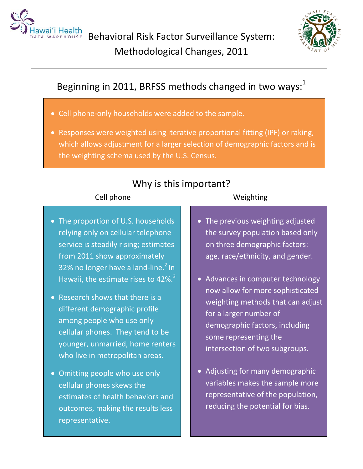

Behavioral Risk Factor Surveillance System: Methodological Changes, 2011



# Beginning in 2011, BRFSS methods changed in two ways: $^{1}$

- Cell phone-only households were added to the sample.
- Responses were weighted using iterative proportional fitting (IPF) or raking, which allows adjustment for a larger selection of demographic factors and is the weighting schema used by the U.S. Census.

## Why is this important?

## Cell phone Weighting

- The proportion of U.S. households relying only on cellular telephone service is steadily rising; estimates from 2011 show approximately 32% no longer have a land-line. $2 \ln \frac{2}{3}$ Hawaii, the estimate rises to  $42\%$ .<sup>3</sup>
- Research shows that there is a different demographic profile among people who use only cellular phones. They tend to be younger, unmarried, home renters who live in metropolitan areas.
- Omitting people who use only cellular phones skews the estimates of health behaviors and outcomes, making the results less representative.
- The previous weighting adjusted the survey population based only on three demographic factors: age, race/ethnicity, and gender.
- Advances in computer technology now allow for more sophisticated weighting methods that can adjust for a larger number of demographic factors, including some representing the intersection of two subgroups.
- Adjusting for many demographic variables makes the sample more representative of the population, reducing the potential for bias.